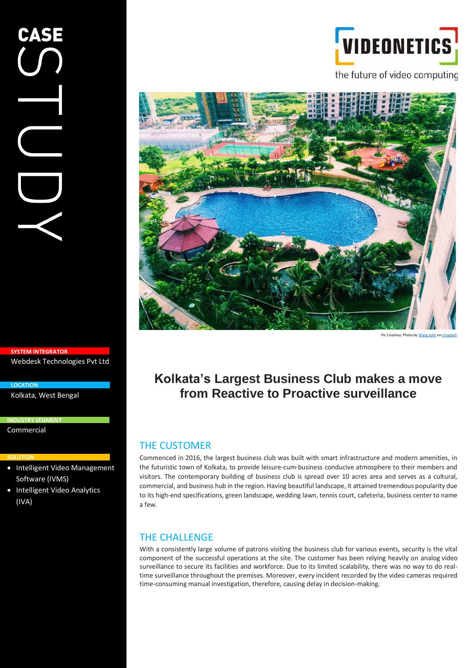# VIDEONETICS

the future of video computing



Pic Courtesy: Photo b[y Wang John](https://unsplash.com/@john_wang?utm_source=unsplash&utm_medium=referral&utm_content=creditCopyText)

## **Kolkata's Largest Business Club makes a move from Reactive to Proactive surveillance**

### THE CUSTOMER

Commenced in 2016, the largest business club was built with smart infrastructure and modern amenities, in the futuristic town of Kolkata, to provide leisure-cum-business conducive atmosphere to their members and visitors. The contemporary building of business club is spread over 10 acres area and serves as a cultural, commercial, and business hub in the region. Having beautiful landscape, it attained tremendous popularity due to its high-end specifications, green landscape, wedding lawn, tennis court, cafeteria, business center to name a few.

## THE CHALLENGE

With a consistently large volume of patrons visiting the business club for various events, security is the vital component of the successful operations at the site. The customer has been relying heavily on analog video surveillance to secure its facilities and workforce. Due to its limited scalability, there was no way to do realtime surveillance throughout the premises. Moreover, every incident recorded by the video cameras required time-consuming manual investigation, therefore, causing delay in decision-making.

**SYSTEM INTEGRATOR** Webdesk Technologies Pvt Ltd

Kolkata, West Bengal

**CASE** 

**INDUSTRY SEGMENT** Commercial

**LOCATION**

#### **SOLUTION**

- Intelligent Video Management Software (IVMS)
- Intelligent Video Analytics (IVA)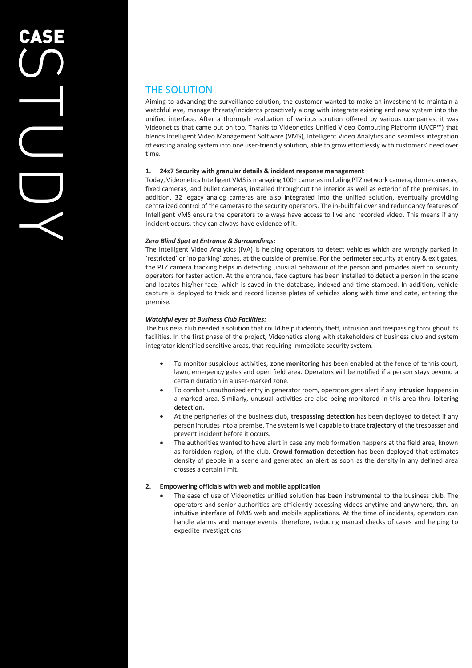## THE SOLUTION

Aiming to advancing the surveillance solution, the customer wanted to make an investment to maintain a watchful eye, manage threats/incidents proactively along with integrate existing and new system into the unified interface. After a thorough evaluation of various solution offered by various companies, it was Videonetics that came out on top. Thanks to Videonetics Unified Video Computing Platform (UVCP™) that blends Intelligent Video Management Software (VMS), Intelligent Video Analytics and seamless integration of existing analog system into one user-friendly solution, able to grow effortlessly with customers' need over time.

#### **1. 24x7 Security with granular details & incident response management**

Today, Videonetics Intelligent VMS is managing 100+ cameras including PTZ network camera, dome cameras, fixed cameras, and bullet cameras, installed throughout the interior as well as exterior of the premises. In addition, 32 legacy analog cameras are also integrated into the unified solution, eventually providing centralized control of the cameras to the security operators. The in-built failover and redundancy features of Intelligent VMS ensure the operators to always have access to live and recorded video. This means if any incident occurs, they can always have evidence of it.

#### *Zero Blind Spot at Entrance & Surroundings:*

The Intelligent Video Analytics (IVA) is helping operators to detect vehicles which are wrongly parked in 'restricted' or 'no parking' zones, at the outside of premise. For the perimeter security at entry & exit gates, the PTZ camera tracking helps in detecting unusual behaviour of the person and provides alert to security operators for faster action. At the entrance, face capture has been installed to detect a person in the scene and locates his/her face, which is saved in the database, indexed and time stamped. In addition, vehicle capture is deployed to track and record license plates of vehicles along with time and date, entering the premise.

#### *Watchful eyes at Business Club Facilities:*

The business club needed a solution that could help it identify theft, intrusion and trespassing throughout its facilities. In the first phase of the project, Videonetics along with stakeholders of business club and system integrator identified sensitive areas, that requiring immediate security system.

- To monitor suspicious activities, **zone monitoring** has been enabled at the fence of tennis court, lawn, emergency gates and open field area. Operators will be notified if a person stays beyond a certain duration in a user-marked zone.
- To combat unauthorized entry in generator room, operators gets alert if any **intrusion** happens in a marked area. Similarly, unusual activities are also being monitored in this area thru **loitering detection.**
- At the peripheries of the business club, **trespassing detection** has been deployed to detect if any person intrudes into a premise. The system is well capable to trace **trajectory** of the trespasser and prevent incident before it occurs.
- The authorities wanted to have alert in case any mob formation happens at the field area, known as forbidden region, of the club. **Crowd formation detection** has been deployed that estimates density of people in a scene and generated an alert as soon as the density in any defined area crosses a certain limit.

#### **2. Empowering officials with web and mobile application**

• The ease of use of Videonetics unified solution has been instrumental to the business club. The operators and senior authorities are efficiently accessing videos anytime and anywhere, thru an intuitive interface of IVMS web and mobile applications. At the time of incidents, operators can handle alarms and manage events, therefore, reducing manual checks of cases and helping to expedite investigations.